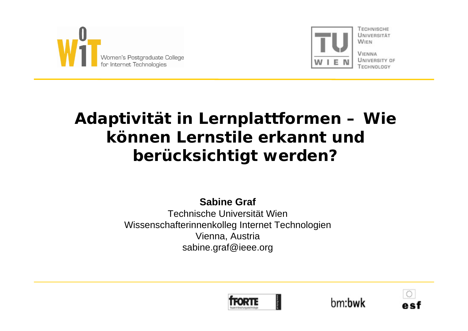



**VIENNA** UNIVERSITY OF

# **Adaptivität in Lernplattformen – Wie können Lernstile erkannt und berücksichtigt werden?**

**Sabine Graf**

Technische Universität WienWissenschafterinnenkolleg Internet Technologien Vienna, Austria sabine.graf@ieee.org





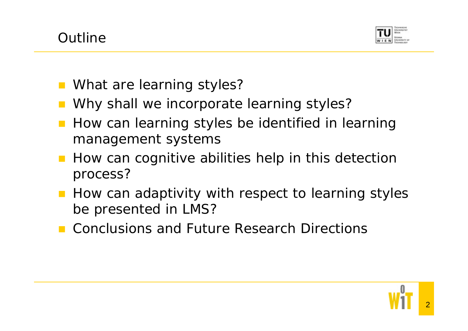

- What are learning styles?
- Why shall we incorporate learning styles?
- How can learning styles be identified in learning management systems
- **How can cognitive abilities help in this detection** process?
- How can adaptivity with respect to learning styles be presented in LMS?
- Conclusions and Future Research Directions

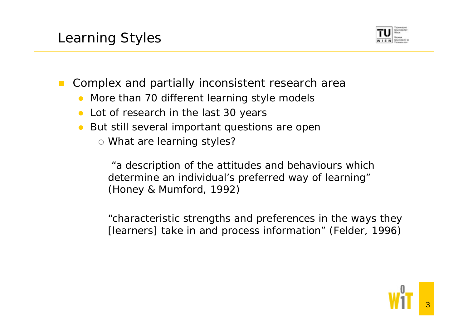

 $\mathbb{R}^n$ Complex and partially inconsistent research area

- $\bullet$ More than 70 different learning style models
- Lot of research in the last 30 years
- But still several important questions are open
	- o What are learning styles?

"a description of the attitudes and behaviours which determine an individual's preferred way of learning" (Honey & Mumford, 1992)

"characteristic strengths and preferences in the ways they [learners] take in and process information" (Felder, 1996)

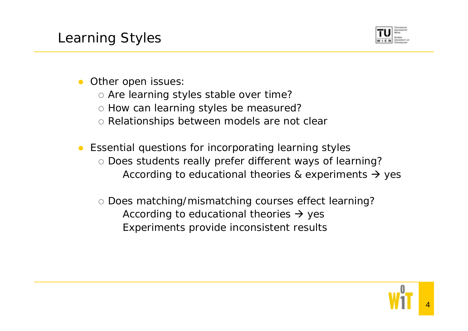

#### $\bullet$ Other open issues:

- $\circ$  Are learning styles stable over time?
- o How can learning styles be measured?
- { Relationships between models are not clear
- Essential questions for incorporating learning styles { Does students really prefer different ways of learning? According to educational theories & experiments  $\rightarrow$  yes
	- { Does matching/mismatching courses effect learning? According to educational theories  $\rightarrow$  yes Experiments provide inconsistent results



4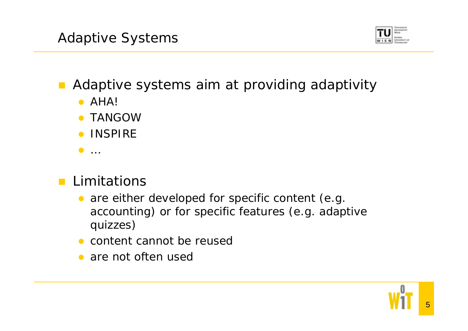

Adaptive systems aim at providing adaptivity

- $\bullet$  AHA!
- **TANGOW**
- **INSPIRE**
- $\bullet$  ...

# **Limitations**

- $\bullet$  are either developed for specific content (e.g. accounting) or for specific features (e.g. adaptive quizzes)
- content cannot be reused
- are not often used



5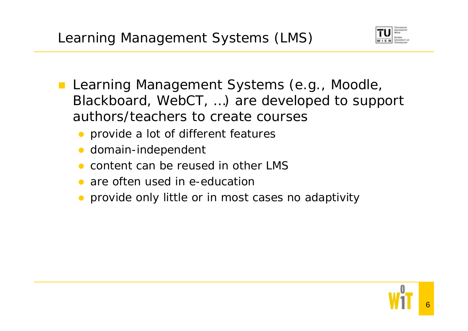

- **Learning Management Systems (e.g., Moodle,** Blackboard, WebCT, …) are developed to support authors/teachers to create courses
	- provide a lot of different features
	- $\bullet$ domain-independent
	- $\bullet$ content can be reused in other LMS
	- are often used in e-education
	- provide only little or in most cases no adaptivity

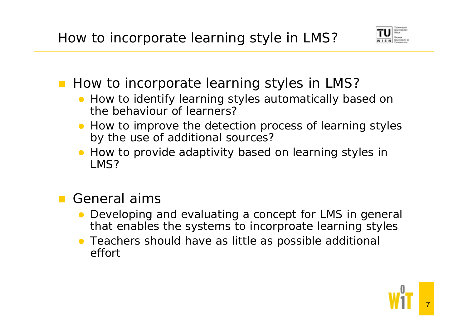

- **How to incorporate learning styles in LMS?** 
	- How to identify learning styles automatically based on the behaviour of learners?
	- How to improve the detection process of learning styles by the use of additional sources?
	- How to provide adaptivity based on learning styles in LMS?

## General aims

- Developing and evaluating a concept for LMS in general that enables the systems to incorproate learning styles
- Teachers should have as little as possible additional effort

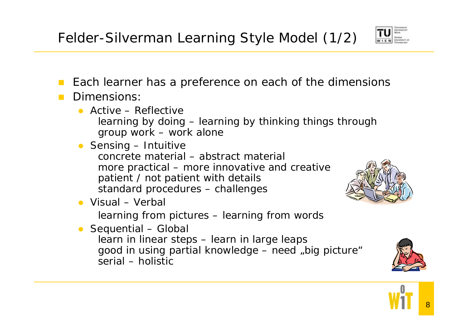

- $\mathcal{L}^{\mathcal{L}}$ Each learner has a preference on each of the dimensions
- Dimensions:
	- Active Reflective learning by doing – learning by thinking things through group work – work alone
	- Sensing Intuitive concrete material – abstract materialmore practical – more innovative and creative patient / not patient with details standard procedures – challenges
	- Visual Verbal

learning from pictures – learning from words

• Sequential – Global learn in linear steps – learn in large leaps good in using partial knowledge – need "big picture" serial – holistic





8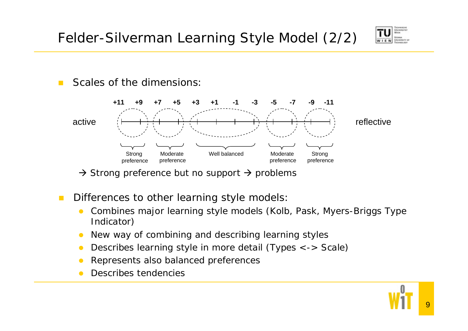Felder-Silverman Learning Style Model (2/2)



 $\mathcal{L}^{\mathcal{L}}$ Scales of the dimensions:



 $\rightarrow$  Strong preference but no support  $\rightarrow$  problems

- $\mathcal{C}^{\mathcal{A}}$  Differences to other learning style models:
	- $\bullet$  Combines major learning style models (Kolb, Pask, Myers-Briggs Type Indicator)
	- $\bullet$ New way of combining and describing learning styles
	- $\bullet$ Describes learning style in more detail (Types <-> Scale)
	- $\bullet$ Represents also balanced preferences
	- $\bullet$ Describes tendencies

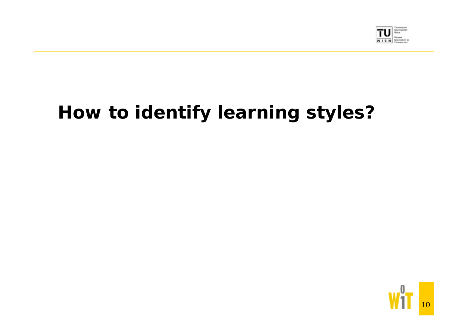

# **How to identify learning styles?**

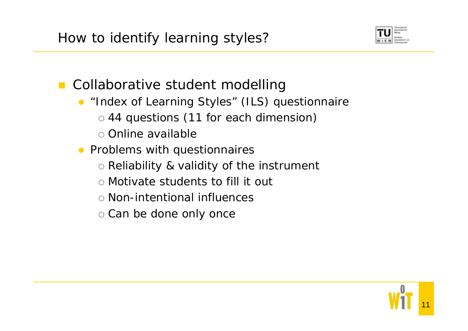

**Collaborative student modelling** 

- "Index of Learning Styles" (ILS) questionnaire
	- o 44 questions (11 for each dimension)
	- o Online available
- Problems with questionnaires
	- { Reliability & validity of the instrument
	- { Motivate students to fill it out
	- { Non-intentional influences
	- o Can be done only once

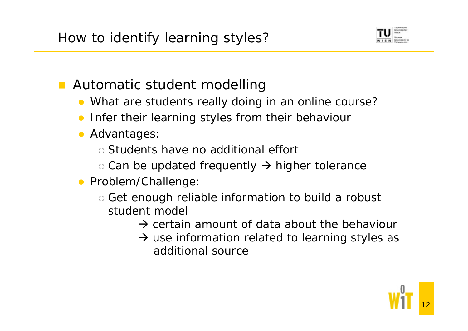

Automatic student modelling

- What are students really doing in an online course?
- $\bullet$ Infer their learning styles from their behaviour
- **Advantages:** 
	- { Students have no additional effort
	- $\circ$  Can be updated frequently  $\rightarrow$  higher tolerance
- **•** Problem/Challenge:
	- $\circ$  Get enough reliable information to build a robust student model
		- $\rightarrow$  certain amount of data about the behaviour
		- $\rightarrow$  use information related to learning styles as additional source

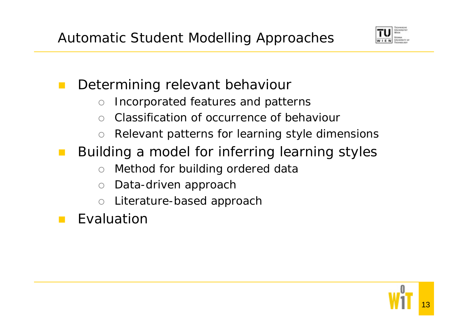

### Determining relevant behaviour

- $\bigcirc$ Incorporated features and patterns
- $\bigcap$ Classification of occurrence of behaviour
- $\bigcirc$ Relevant patterns for learning style dimensions
- Building a model for inferring learning styles
	- $\bigcap$ Method for building ordered data
	- $\bigcirc$ Data-driven approach
	- $\bigcap$ Literature-based approach
- Evaluation

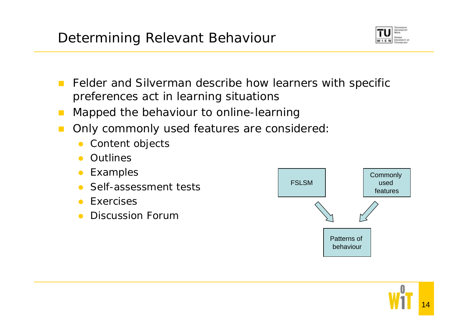Universität **Dungalow** as

- $\mathcal{L}^{\mathcal{L}}$  Felder and Silverman describe how learners with specific preferences act in learning situations
- $\mathcal{L}^{\mathcal{A}}$ Mapped the behaviour to online-learning
- $\mathcal{L}^{\mathcal{A}}$  Only commonly used features are considered:
	- $\bullet$ Content objects
	- $\bullet$ Outlines
	- $\bullet$ Examples
	- Self-assessment tests
	- **Exercises**
	- $\bullet$ Discussion Forum

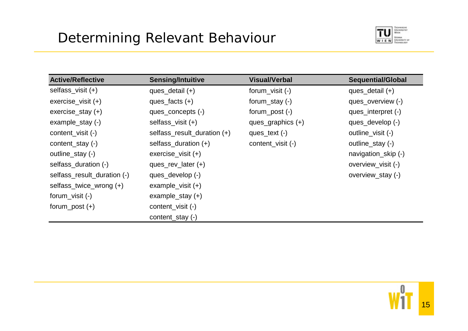

| <b>Active/Reflective</b>    | <b>Sensing/Intuitive</b>    | <b>Visual/Verbal</b> | <b>Sequential/Global</b> |
|-----------------------------|-----------------------------|----------------------|--------------------------|
| selfass_visit (+)           | ques_detail $(+)$           | forum_visit $(-)$    | ques_detail $(+)$        |
| $exercise\_visit (+)$       | ques_facts $(+)$            | forum_stay $(-)$     | ques_overview (-)        |
| $exercise\_stay (+)$        | ques_concepts (-)           | $form\_post(-)$      | ques_interpret (-)       |
| example_stay $(-)$          | selfass_visit (+)           | ques_graphics $(+)$  | ques_develop (-)         |
| content_visit (-)           | selfass_result_duration (+) | ques_text $(-)$      | outline_visit (-)        |
| content_stay $(-)$          | selfass_duration $(+)$      | content_visit (-)    | outline_stay (-)         |
| outline_stay (-)            | $excise\_visit (+)$         |                      | navigation_skip (-)      |
| selfass_duration (-)        | ques_rev_later $(+)$        |                      | overview_visit (-)       |
| selfass_result_duration (-) | ques_develop (-)            |                      | overview_stay (-)        |
| selfass_twice_wrong (+)     | example_visit $(+)$         |                      |                          |
| forum_visit $(-)$           | example_stay $(+)$          |                      |                          |
| forum_post $(+)$            | content_visit (-)           |                      |                          |
|                             | content_stay (-)            |                      |                          |

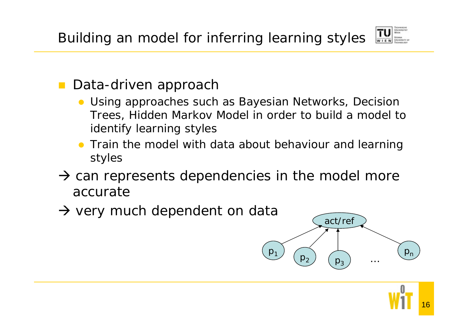

#### Data-driven approach

- Using approaches such as Bayesian Networks, Decision Trees, Hidden Markov Model in order to build a model to identify learning styles
- Train the model with data about behaviour and learning styles
- $\rightarrow$  can represents dependencies in the model more accurate
- $\rightarrow$  very much dependent on data  $\sqrt{\frac{2}{\text{act} / \text{ref}}}$



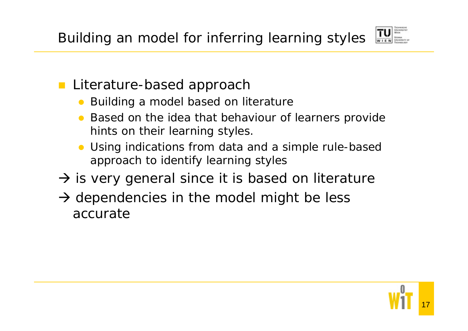

- **Literature-based approach** 
	- Building a model based on literature
	- Based on the idea that behaviour of learners provide hints on their learning styles.
	- $\bullet$  Using indications from data and a simple rule-based approach to identify learning styles
- $\rightarrow$  is very general since it is based on literature
- $\rightarrow$  dependencies in the model might be less accurate

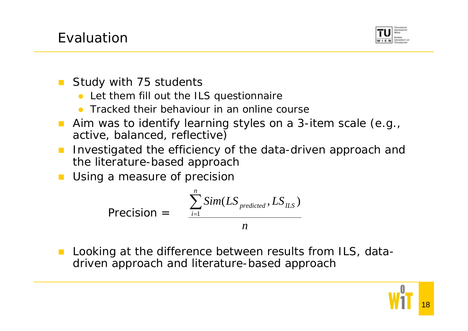

- $\mathcal{L}^{\mathcal{L}}$  Study with 75 students
	- Let them fill out the ILS questionnaire
	- Tracked their behaviour in an online course
- Aim was to identify learning styles on a 3-item scale (e.g., active, balanced, reflective)
- $\mathcal{L}^{\mathcal{A}}$  Investigated the efficiency of the data-driven approach and the literature-based approach
- Using a measure of precision

$$
\text{Precision} = \frac{\sum_{i=1}^{n} Sim(LS_{predicted}, LS_{ILS})}{n}
$$

 Looking at the difference between results from ILS, datadriven approach and literature-based approach

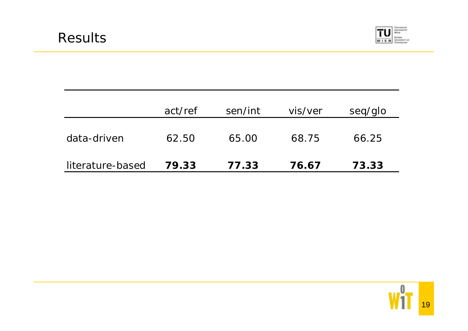

|                  | act/ref | sen/int | vis/ver | seq/glo |
|------------------|---------|---------|---------|---------|
| data-driven      | 62.50   | 65.00   | 68.75   | 66.25   |
| literature-based | 79.33   | 77.33   | 76.67   | 73.33   |

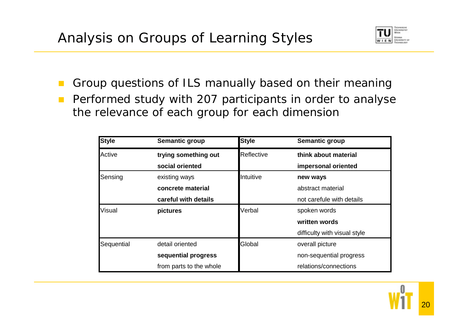

 $\mathbb{R}^n$  Group questions of ILS manually based on their meaning  $\mathcal{L}_{\mathcal{A}}$  Performed study with 207 participants in order to analyse the relevance of each group for each dimension

| <b>Style</b>  | Semantic group          | <b>Style</b> | Semantic group               |
|---------------|-------------------------|--------------|------------------------------|
| Active        | trying something out    | Reflective   | think about material         |
|               | social oriented         |              | impersonal oriented          |
| Sensing       | existing ways           | Intuitive    | new ways                     |
|               | concrete material       |              | abstract material            |
|               | careful with details    |              | not carefule with details    |
| <b>Visual</b> | pictures                | Verbal       | spoken words                 |
|               |                         |              | written words                |
|               |                         |              | difficulty with visual style |
| Sequential    | detail oriented         | Global       | overall picture              |
|               | sequential progress     |              | non-sequential progress      |
|               | from parts to the whole |              | relations/connections        |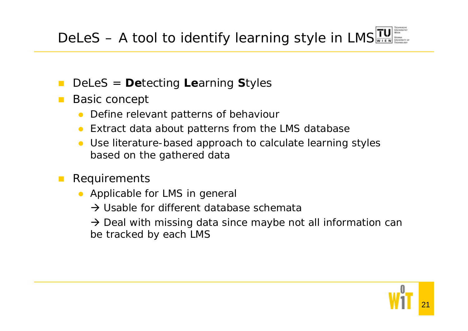- $\mathcal{L}^{\text{max}}$ DeLeS <sup>=</sup>**De**tecting **Le**arning **S**tyles
- Basic concept
	- $\bullet$ Define relevant patterns of behaviour
	- $\bullet$ Extract data about patterns from the LMS database
	- $\bullet$  Use literature-based approach to calculate learning styles based on the gathered data
- $\mathbb{R}^n$  Requirements
	- $\bullet$  Applicable for LMS in general
		- $\rightarrow$  Usable for different database schemata

 $\rightarrow$  Deal with missing data since maybe not all information can be tracked by each LMS

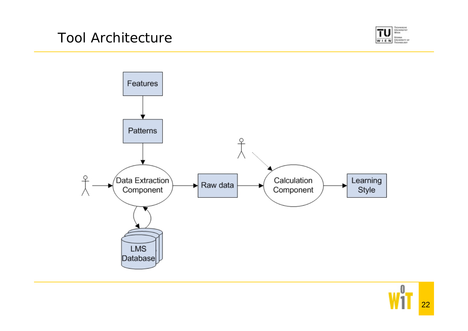



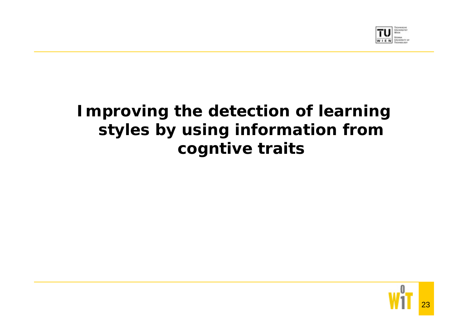

# **Improving the detection of learning styles by using information from cogntive traits**

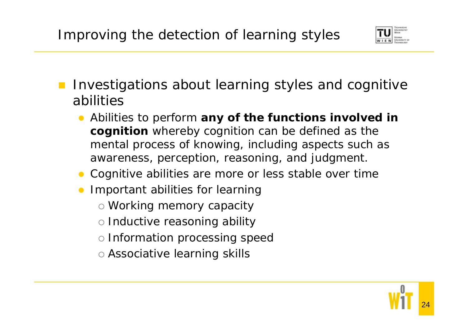

- Investigations about learning styles and cognitive abilities
	- **•** Abilities to perform any of the functions involved in **cognition** whereby cognition can be defined as the mental process of knowing, including aspects such as awareness, perception, reasoning, and judgment.
	- Cognitive abilities are more or less stable over time
	- Important abilities for learning
		- o Working memory capacity
		- o Inductive reasoning ability
		- o Information processing speed
		- { Associative learning skills

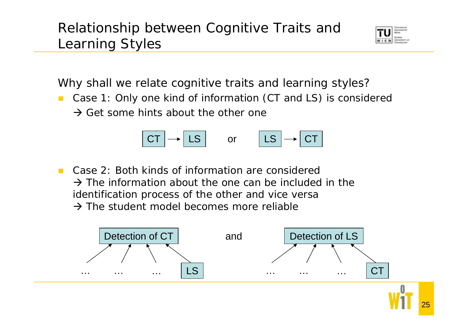# Relationship between Cognitive Traits and Learning Styles



Why shall we relate cognitive traits and learning styles?

 $\mathcal{L}^{\mathcal{L}}$  Case 1: Only one kind of information (CT and LS) is considered  $\rightarrow$  Get some hints about the other one



 $\mathcal{L}^{\mathcal{A}}$  Case 2: Both kinds of information are considered  $\rightarrow$  The information about the one can be included in the identification process of the other and vice versa  $\rightarrow$  The student model becomes more reliable

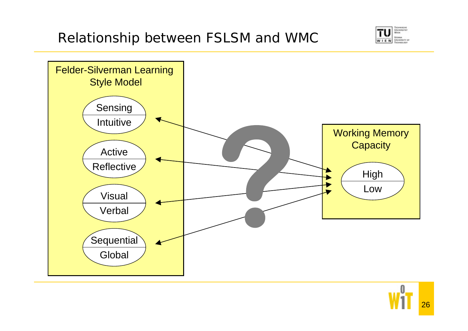



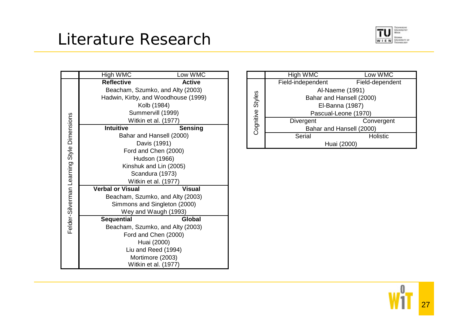# Literature Research



|  | High WMC                                                                                                        | Low WMC                          |  |
|--|-----------------------------------------------------------------------------------------------------------------|----------------------------------|--|
|  | <b>Reflective</b>                                                                                               | <b>Active</b>                    |  |
|  | Beacham, Szumko, and Alty (2003)                                                                                |                                  |  |
|  | Hadwin, Kirby, and Woodhouse (1999)                                                                             |                                  |  |
|  | Kolb (1984)                                                                                                     |                                  |  |
|  | Summervill (1999)                                                                                               |                                  |  |
|  | Witkin et al. (1977)                                                                                            |                                  |  |
|  | <b>Intuitive</b>                                                                                                | <b>Sensing</b>                   |  |
|  |                                                                                                                 | Bahar and Hansell (2000)         |  |
|  |                                                                                                                 | Davis (1991)                     |  |
|  | Ford and Chen (2000)                                                                                            |                                  |  |
|  | Hudson (1966)                                                                                                   |                                  |  |
|  | Felder-Silverman Learning Style Dimensions<br>Kinshuk and Lin (2005)<br>Scandura (1973)<br>Witkin et al. (1977) |                                  |  |
|  |                                                                                                                 |                                  |  |
|  |                                                                                                                 |                                  |  |
|  | <b>Verbal or Visual</b>                                                                                         | <b>Visual</b>                    |  |
|  |                                                                                                                 | Beacham, Szumko, and Alty (2003) |  |
|  | Simmons and Singleton (2000)                                                                                    |                                  |  |
|  | Wey and Waugh (1993)                                                                                            |                                  |  |
|  | <b>Sequential</b>                                                                                               | Global                           |  |
|  |                                                                                                                 | Beacham, Szumko, and Alty (2003) |  |
|  | Ford and Chen (2000)                                                                                            |                                  |  |
|  | Huai (2000)                                                                                                     |                                  |  |
|  | Liu and Reed (1994)                                                                                             |                                  |  |
|  | Mortimore (2003)                                                                                                |                                  |  |
|  | Witkin et al. (1977)                                                                                            |                                  |  |

|                  | High WMC                 | Low WMC              |  |  |
|------------------|--------------------------|----------------------|--|--|
|                  | Field-independent        | Field-dependent      |  |  |
|                  | Al-Naeme (1991)          |                      |  |  |
|                  | Bahar and Hansell (2000) |                      |  |  |
|                  | El-Banna (1987)          |                      |  |  |
| Cognitive Styles |                          | Pascual-Leone (1970) |  |  |
|                  | Divergent                | Convergent           |  |  |
|                  | Bahar and Hansell (2000) |                      |  |  |
|                  | Serial                   | <b>Holistic</b>      |  |  |
|                  | Huai (2000)              |                      |  |  |

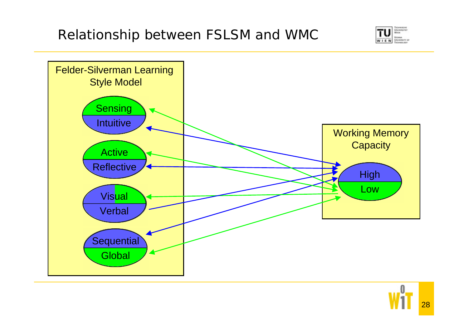



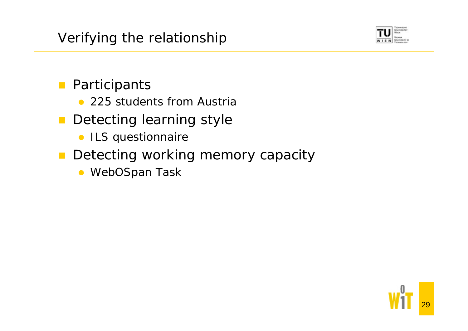

# **Participants**

- 225 students from Austria
- $\mathcal{L}^{\text{max}}$  Detecting learning style
	- ILS questionnaire
- **Detecting working memory capacity** 
	- WebOSpan Task

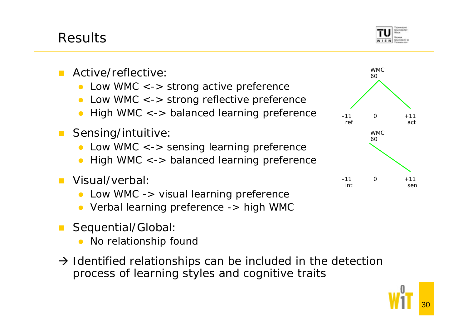

- Active/reflective:
	- $\bullet$ Low WMC <-> strong active preference
	- $\bullet$ Low WMC <-> strong reflective preference
	- $\bullet$ High WMC <-> balanced learning preference
- **The Co**  Sensing/intuitive:
	- $\bullet$ Low WMC <-> sensing learning preference
	- $\bullet$ High WMC <-> balanced learning preference
- Visual/verbal:
	- $\bullet$ Low WMC -> visual learning preference
	- Verbal learning preference -> high WMC
- Sequential/Global:
	- $\bullet$ No relationship found
- $\rightarrow$  Identified relationships can be included in the detection process of learning styles and cognitive traits

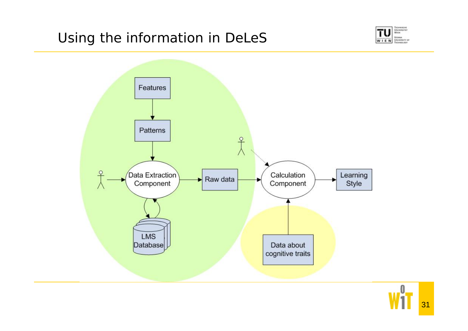### Using the information in DeLeS





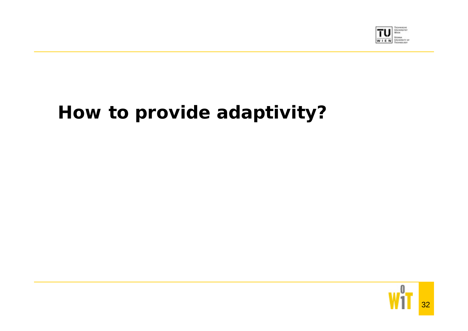

# **How to provide adaptivity?**

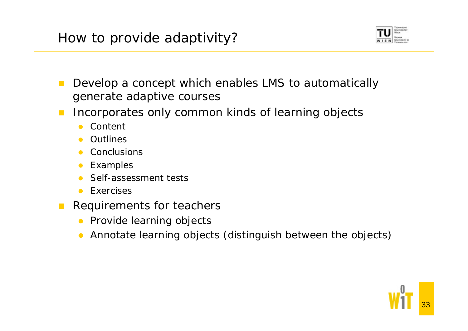

- $\mathcal{L}_{\mathcal{A}}$  Develop a concept which enables LMS to automatically generate adaptive courses
- $\mathcal{L}^{\mathcal{A}}$  Incorporates only common kinds of learning objects
	- $\bullet$ Content
	- $\bullet$ Outlines
	- $\bullet$ **Conclusions**
	- $\bullet$ Examples
	- $\bullet$ Self-assessment tests
	- $\bullet$ Exercises
- $\mathcal{L}_{\mathcal{A}}$  Requirements for teachers
	- Provide learning objects
	- $\bullet$ Annotate learning objects (distinguish between the objects)

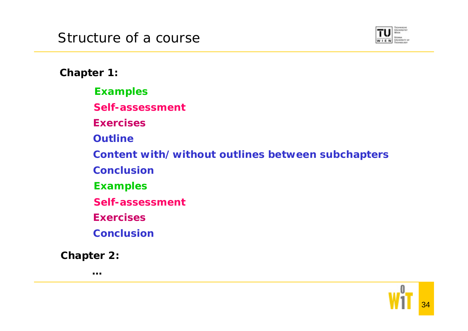

**Chapter 1:**

**Examples**

**Self-assessment**

**Exercises**

**Outline**

**Content with/without outlines between subchapters**

**Conclusion**

**Examples**

**Self-assessment**

**Exercises**

**Conclusion**

**Chapter 2:**

**…**

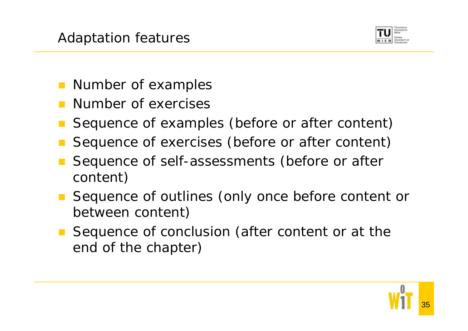

- **Number of examples**
- Number of exercises
- Sequence of examples (before or after content)
- Sequence of exercises (before or after content)
- Sequence of self-assessments (before or after content)
- Sequence of outlines (only once before content or between content)
- Sequence of conclusion (after content or at the end of the chapter)

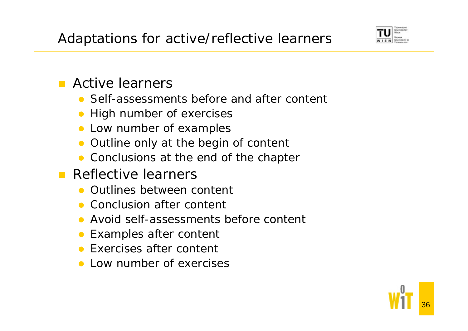

### **E** Active learners

- Self-assessments before and after content
- $\bullet$ High number of exercises
- Low number of examples
- $\bullet$ Outline only at the begin of content
- Conclusions at the end of the chapter
- **Reflective learners** 
	- Outlines between content
	- Conclusion after content
	- $\bullet$ Avoid self-assessments before content
	- $\bullet$ Examples after content
	- Exercises after content
	- Low number of exercises

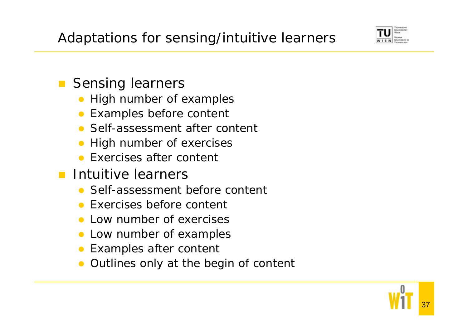

## **Sensing learners**

- $\bullet$ High number of examples
- Examples before content
- Self-assessment after content
- $\bullet$ High number of exercises
- Exercises after content
- **Intuitive learners** 
	- Self-assessment before content
	- Exercises before content
	- $\bullet$ Low number of exercises
	- $\bullet$ Low number of examples
	- $\bullet$ Examples after content
	- $\bullet$ Outlines only at the begin of content

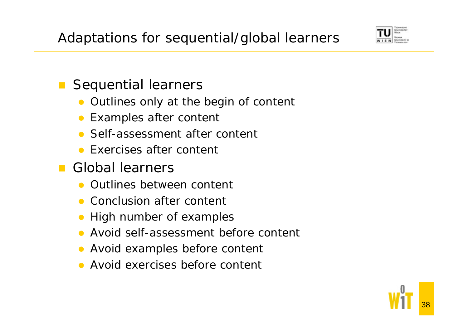

#### $\mathcal{L}(\mathcal{A})$ Sequential learners

- $\bullet$ Outlines only at the begin of content
- $\bullet$ Examples after content
- Self-assessment after content
- Exercises after content
- **Global learners** 
	- Outlines between content
	- Conclusion after content
	- $\bullet$ High number of examples
	- $\bullet$ Avoid self-assessment before content
	- $\bullet$ Avoid examples before content
	- Avoid exercises before content

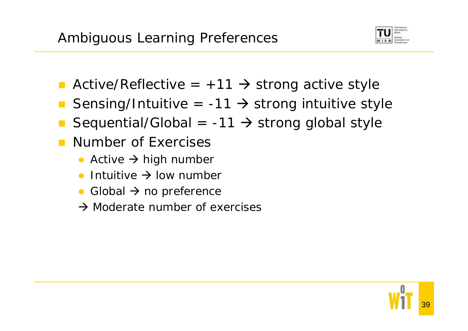

- Active/Reflective =  $+11$   $\rightarrow$  strong active style
- Sensing/Intuitive =  $-11 \rightarrow$  strong intuitive style
- Sequential/Global =  $-11 \rightarrow$  strong global style
- Number of Exercises
	- Active  $\rightarrow$  high number
	- $\bullet$ • Intuitive  $\rightarrow$  low number
	- $\bullet$ • Global  $\rightarrow$  no preference
	- $\rightarrow$  Moderate number of exercises

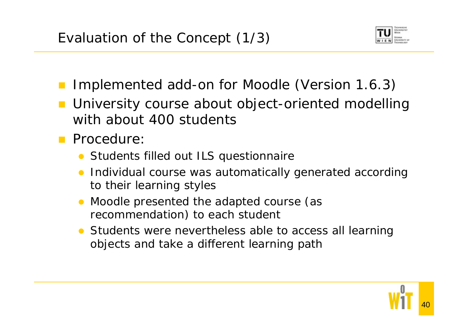

- Implemented add-on for Moodle (Version 1.6.3)
- University course about object-oriented modelling with about 400 students
- **Procedure:** 
	- Students filled out ILS questionnaire
	- Individual course was automatically generated according to their learning styles
	- $\bullet$  Moodle presented the adapted course (as recommendation) to each student
	- Students were nevertheless able to access all learning objects and take a different learning path

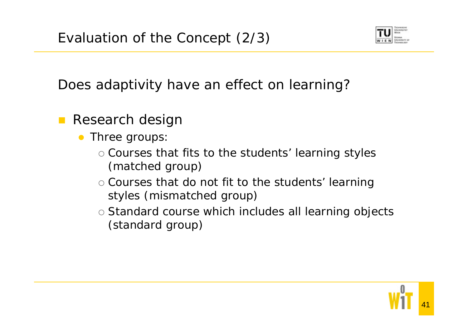

Does adaptivity have an effect on learning?

- $\mathbb{R}^n$  Research design
	- $\bullet$  Three groups:
		- $\circ$  Courses that fits to the students' learning styles (matched group)
		- $\circ$  Courses that do not fit to the students' learning styles (mismatched group)
		- o Standard course which includes all learning objects (standard group)

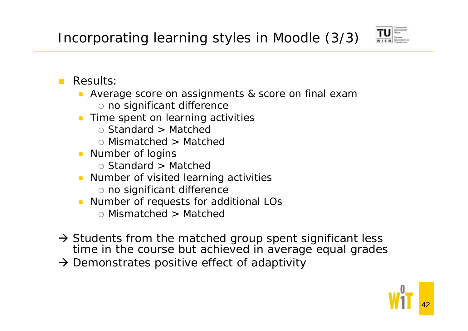

#### $\mathcal{L}^{\mathcal{L}}$ Results:

- Average score on assignments & score on final exam o no significant difference
- Time spent on learning activities
	- { Standard > Matched
	- { Mismatched > Matched
- Number of logins
	- { Standard > Matched
- Number of visited learning activities
	- o no significant difference
- Number of requests for additional LOs
	- { Mismatched > Matched
- $\rightarrow$  Students from the matched group spent significant less time in the course but achieved in average equal grades
- $\rightarrow$  Demonstrates positive effect of adaptivity

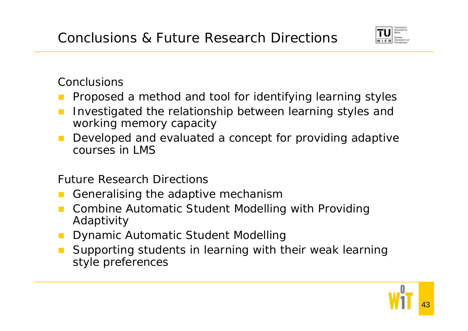

Conclusions

- Proposed a method and tool for identifying learning styles
- $\mathbb{R}^n$  Investigated the relationship between learning styles and working memory capacity
- $\mathbb{R}^n$  Developed and evaluated a concept for providing adaptive courses in LMS

Future Research Directions

- Generalising the adaptive mechanism
- **n** Combine Automatic Student Modelling with Providing Adaptivity
- **Dynamic Automatic Student Modelling**
- **The Co**  Supporting students in learning with their weak learning style preferences